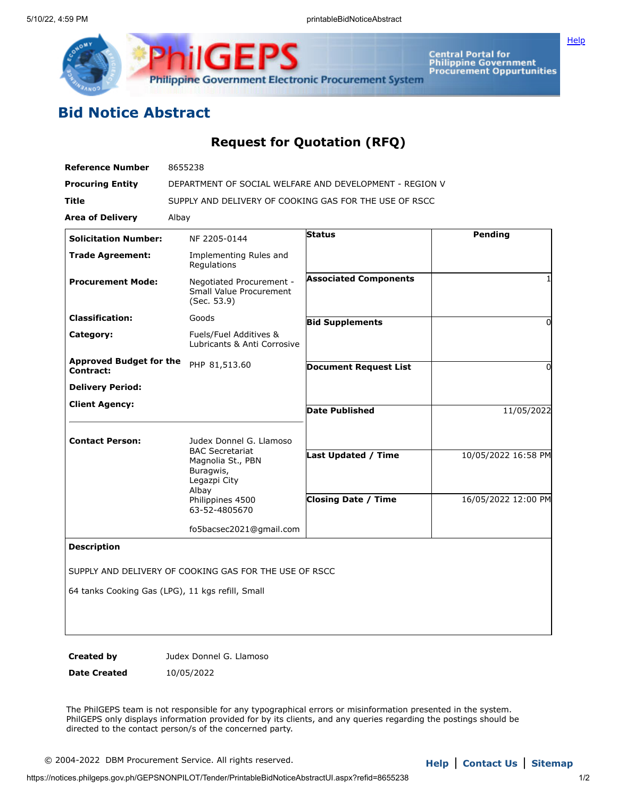

Central Portal for<br>Philippine Government<br>Procurement Oppurtunities

**[Help](javascript:void(window.open()** 

## **Bid Notice Abstract**

## **Request for Quotation (RFQ)**

| <b>Reference Number</b>                     | 8655238                                                                                                      |                              |                     |
|---------------------------------------------|--------------------------------------------------------------------------------------------------------------|------------------------------|---------------------|
| <b>Procuring Entity</b>                     | DEPARTMENT OF SOCIAL WELFARE AND DEVELOPMENT - REGION V                                                      |                              |                     |
| Title                                       | SUPPLY AND DELIVERY OF COOKING GAS FOR THE USE OF RSCC                                                       |                              |                     |
| <b>Area of Delivery</b>                     | Albay                                                                                                        |                              |                     |
| <b>Solicitation Number:</b>                 | NF 2205-0144                                                                                                 | <b>Status</b>                | Pending             |
| <b>Trade Agreement:</b>                     | Implementing Rules and<br>Regulations                                                                        |                              |                     |
| <b>Procurement Mode:</b>                    | Negotiated Procurement -<br>Small Value Procurement<br>(Sec. 53.9)                                           | <b>Associated Components</b> | 1                   |
| <b>Classification:</b>                      | Goods                                                                                                        | <b>Bid Supplements</b>       | 0                   |
| Category:                                   | Fuels/Fuel Additives &<br>Lubricants & Anti Corrosive                                                        |                              |                     |
| <b>Approved Budget for the</b><br>Contract: | PHP 81,513.60                                                                                                | <b>Document Request List</b> | $\Omega$            |
| <b>Delivery Period:</b>                     |                                                                                                              |                              |                     |
| <b>Client Agency:</b>                       |                                                                                                              | <b>Date Published</b>        | 11/05/2022          |
| <b>Contact Person:</b>                      | Judex Donnel G. Llamoso<br><b>BAC Secretariat</b><br>Magnolia St., PBN<br>Buragwis,<br>Legazpi City<br>Albay |                              |                     |
|                                             |                                                                                                              | Last Updated / Time          | 10/05/2022 16:58 PM |
|                                             | Philippines 4500<br>63-52-4805670                                                                            | <b>Closing Date / Time</b>   | 16/05/2022 12:00 PM |
|                                             | fo5bacsec2021@gmail.com                                                                                      |                              |                     |
| <b>Description</b>                          |                                                                                                              |                              |                     |
|                                             | SUPPLY AND DELIVERY OF COOKING GAS FOR THE USE OF RSCC                                                       |                              |                     |
|                                             | 64 tanks Cooking Gas (LPG), 11 kgs refill, Small                                                             |                              |                     |
|                                             |                                                                                                              |                              |                     |

**Created by Judex Donnel G. Llamoso** 

**Date Created** 10/05/2022

The PhilGEPS team is not responsible for any typographical errors or misinformation presented in the system. PhilGEPS only displays information provided for by its clients, and any queries regarding the postings should be directed to the contact person/s of the concerned party.